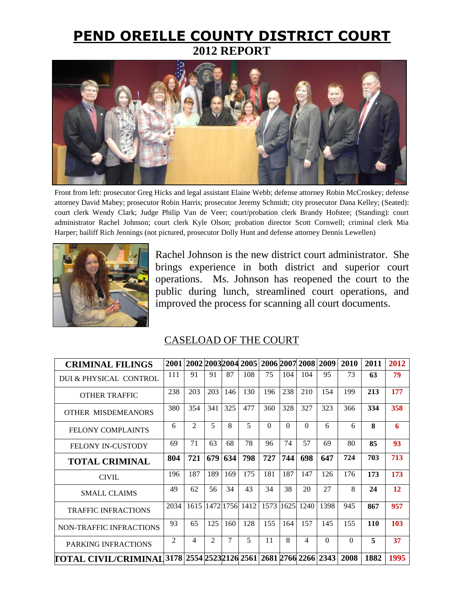## **PEND OREILLE COUNTY DISTRICT COURT 2012 REPORT**



Front from left: prosecutor Greg Hicks and legal assistant Elaine Webb; defense attorney Robin McCroskey; defense attorney David Mabey; prosecutor Robin Harris; prosecutor Jeremy Schmidt; city prosecutor Dana Kelley; (Seated): court clerk Wendy Clark; Judge Philip Van de Veer; court/probation clerk Brandy Hofstee; (Standing): court administrator Rachel Johnson; court clerk Kyle Olson; probation director Scott Cornwell; criminal clerk Mia Harper; bailiff Rich Jennings (not pictured, prosecutor Dolly Hunt and defense attorney Dennis Lewellen)



Rachel Johnson is the new district court administrator. She brings experience in both district and superior court operations. Ms. Johnson has reopened the court to the public during lunch, streamlined court operations, and improved the process for scanning all court documents.

## CASELOAD OF THE COURT

| <b>CRIMINAL FILINGS</b>        |                |                             |                             |        |                     |          |           |          | 2001 2002 2003 2004 2005 2006 2007 2008 2009 | 2010         | 2011         | 2012 |
|--------------------------------|----------------|-----------------------------|-----------------------------|--------|---------------------|----------|-----------|----------|----------------------------------------------|--------------|--------------|------|
| DUI & PHYSICAL CONTROL         | 111            | 91                          | 91                          | 87     | 108                 | 75       | 104       | 104      | 95                                           | 73           | 63           | 79   |
| <b>OTHER TRAFFIC</b>           | 238            | 203                         | 203                         | 146    | 130                 | 196      | 238       | 210      | 154                                          | 199          | 213          | 177  |
| OTHER MISDEMEANORS             | 380            | 354                         | 341                         | 325    | 477                 | 360      | 328       | 327      | 323                                          | 366          | 334          | 358  |
| <b>FELONY COMPLAINTS</b>       | 6              | $\mathcal{D}_{\mathcal{L}}$ | $\overline{\phantom{0}}$    | 8      | 5                   | $\Omega$ | $\Omega$  | $\Omega$ | 6                                            | 6            | $\mathbf{8}$ | 6    |
| <b>FELONY IN-CUSTODY</b>       | 69             | 71                          | 63                          | 68     | 78                  | 96       | 74        | 57       | 69                                           | 80           | 85           | 93   |
| <b>TOTAL CRIMINAL</b>          | 804            | 721                         | 679                         | 634    | 798                 | 727      | 744       | 698      | 647                                          | 724          | 703          | 713  |
| <b>CIVIL</b>                   | 196            | 187                         | 189                         | 169    | 175                 | 181      | 187       | 147      | 126                                          | 176          | 173          | 173  |
| <b>SMALL CLAIMS</b>            | 49             | 62                          | 56                          | 34     | 43                  | 34       | 38        | 20       | 27                                           | $\mathbf{8}$ | 24           | 12   |
| <b>TRAFFIC INFRACTIONS</b>     | 2034           |                             |                             |        | 1615 1472 1756 1412 |          | 1573 1625 | 1240     | 1398                                         | 945          | 867          | 957  |
| <b>NON-TRAFFIC INFRACTIONS</b> | 93             | 65                          | 125                         | 160    | 128                 | 155      | 164       | 157      | 145                                          | 155          | <b>110</b>   | 103  |
| PARKING INFRACTIONS            | $\mathfrak{D}$ | $\overline{4}$              | $\mathcal{D}_{\mathcal{L}}$ | $\tau$ | $\overline{5}$      | 11       | 8         | 4        | $\Omega$                                     | $\Omega$     | $\mathbf{5}$ | 37   |
| TOTAL CIVIL/CRIMINAL           |                |                             |                             |        |                     |          |           |          | 3178 2554 2523 2126 2561 2681 2766 2266 2343 | 2008         | 1882         | 1995 |